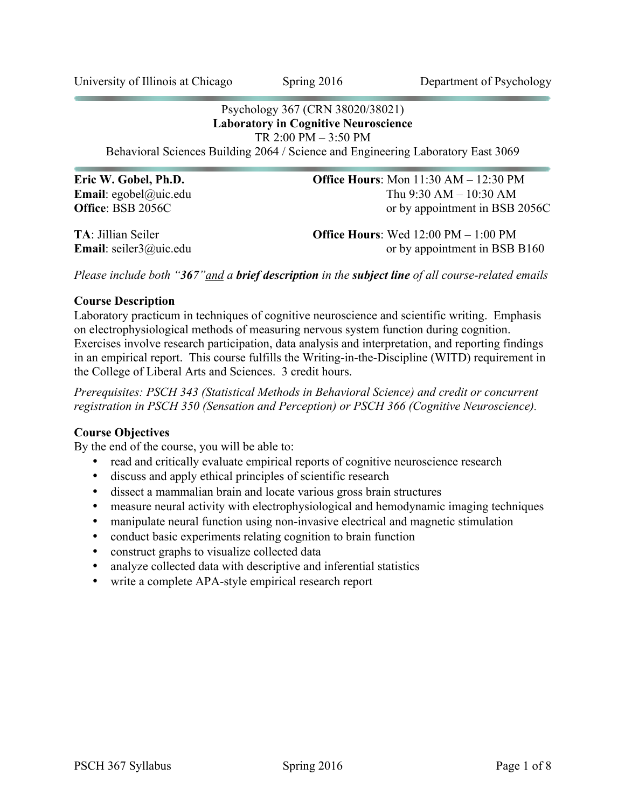#### Psychology 367 (CRN 38020/38021) **Laboratory in Cognitive Neuroscience** TR 2:00 PM – 3:50 PM

Behavioral Sciences Building 2064 / Science and Engineering Laboratory East 3069

**Eric W. Gobel, Ph.D. Office Hours**: Mon 11:30 AM – 12:30 PM **Email**: egobel@uic.edu Thu 9:30 AM – 10:30 AM **Office**: BSB 2056C or by appointment in BSB 2056C

**TA**: Jillian Seiler **Office Hours**: Wed 12:00 PM – 1:00 PM **Email**: seiler3@uic.edu or by appointment in BSB B160

*Please include both "367"and a brief description in the subject line of all course-related emails*

### **Course Description**

Laboratory practicum in techniques of cognitive neuroscience and scientific writing. Emphasis on electrophysiological methods of measuring nervous system function during cognition. Exercises involve research participation, data analysis and interpretation, and reporting findings in an empirical report. This course fulfills the Writing-in-the-Discipline (WITD) requirement in the College of Liberal Arts and Sciences. 3 credit hours.

*Prerequisites: PSCH 343 (Statistical Methods in Behavioral Science) and credit or concurrent registration in PSCH 350 (Sensation and Perception) or PSCH 366 (Cognitive Neuroscience).*

### **Course Objectives**

By the end of the course, you will be able to:

- read and critically evaluate empirical reports of cognitive neuroscience research
- discuss and apply ethical principles of scientific research
- dissect a mammalian brain and locate various gross brain structures
- measure neural activity with electrophysiological and hemodynamic imaging techniques
- manipulate neural function using non-invasive electrical and magnetic stimulation
- conduct basic experiments relating cognition to brain function
- construct graphs to visualize collected data
- analyze collected data with descriptive and inferential statistics
- write a complete APA-style empirical research report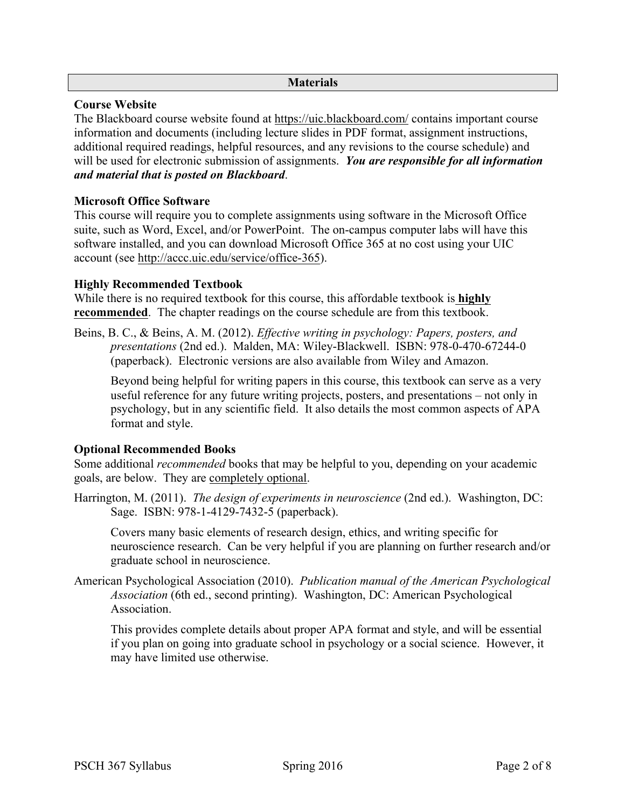### **Materials**

# **Course Website**

The Blackboard course website found at https://uic.blackboard.com/ contains important course information and documents (including lecture slides in PDF format, assignment instructions, additional required readings, helpful resources, and any revisions to the course schedule) and will be used for electronic submission of assignments. *You are responsible for all information and material that is posted on Blackboard*.

# **Microsoft Office Software**

This course will require you to complete assignments using software in the Microsoft Office suite, such as Word, Excel, and/or PowerPoint. The on-campus computer labs will have this software installed, and you can download Microsoft Office 365 at no cost using your UIC account (see http://accc.uic.edu/service/office-365).

# **Highly Recommended Textbook**

While there is no required textbook for this course, this affordable textbook is **highly recommended**. The chapter readings on the course schedule are from this textbook.

Beins, B. C., & Beins, A. M. (2012). *Effective writing in psychology: Papers, posters, and presentations* (2nd ed.). Malden, MA: Wiley-Blackwell. ISBN: 978-0-470-67244-0 (paperback). Electronic versions are also available from Wiley and Amazon.

Beyond being helpful for writing papers in this course, this textbook can serve as a very useful reference for any future writing projects, posters, and presentations – not only in psychology, but in any scientific field. It also details the most common aspects of APA format and style.

# **Optional Recommended Books**

Some additional *recommended* books that may be helpful to you, depending on your academic goals, are below. They are completely optional.

Harrington, M. (2011). *The design of experiments in neuroscience* (2nd ed.). Washington, DC: Sage. ISBN: 978-1-4129-7432-5 (paperback).

Covers many basic elements of research design, ethics, and writing specific for neuroscience research. Can be very helpful if you are planning on further research and/or graduate school in neuroscience.

American Psychological Association (2010). *Publication manual of the American Psychological Association* (6th ed., second printing). Washington, DC: American Psychological **Association** 

This provides complete details about proper APA format and style, and will be essential if you plan on going into graduate school in psychology or a social science. However, it may have limited use otherwise.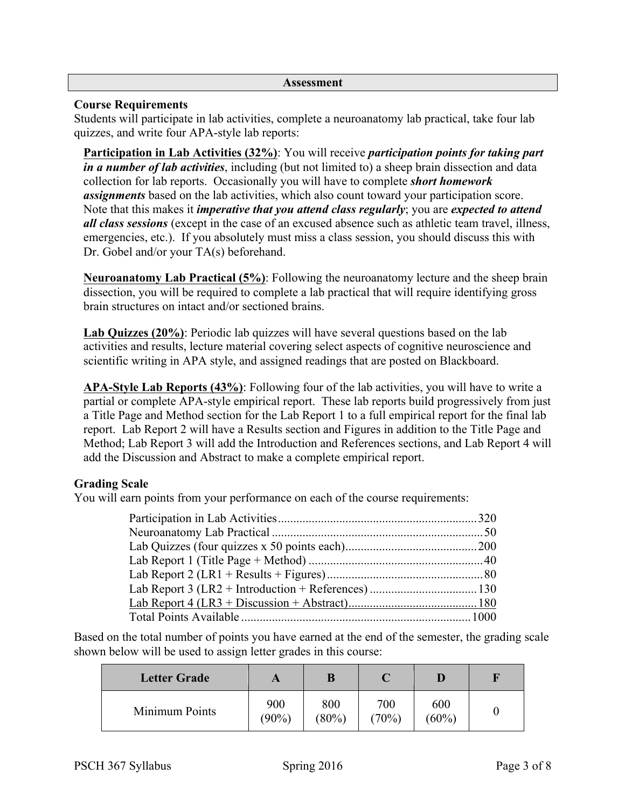#### **Assessment**

### **Course Requirements**

Students will participate in lab activities, complete a neuroanatomy lab practical, take four lab quizzes, and write four APA-style lab reports:

**Participation in Lab Activities (32%)**: You will receive *participation points for taking part in a number of lab activities*, including (but not limited to) a sheep brain dissection and data collection for lab reports. Occasionally you will have to complete *short homework assignments* based on the lab activities, which also count toward your participation score. Note that this makes it *imperative that you attend class regularly*; you are *expected to attend all class sessions* (except in the case of an excused absence such as athletic team travel, illness, emergencies, etc.). If you absolutely must miss a class session, you should discuss this with Dr. Gobel and/or your TA(s) beforehand.

**Neuroanatomy Lab Practical (5%)**: Following the neuroanatomy lecture and the sheep brain dissection, you will be required to complete a lab practical that will require identifying gross brain structures on intact and/or sectioned brains.

**Lab Quizzes (20%)**: Periodic lab quizzes will have several questions based on the lab activities and results, lecture material covering select aspects of cognitive neuroscience and scientific writing in APA style, and assigned readings that are posted on Blackboard.

**APA-Style Lab Reports (43%)**: Following four of the lab activities, you will have to write a partial or complete APA-style empirical report. These lab reports build progressively from just a Title Page and Method section for the Lab Report 1 to a full empirical report for the final lab report. Lab Report 2 will have a Results section and Figures in addition to the Title Page and Method; Lab Report 3 will add the Introduction and References sections, and Lab Report 4 will add the Discussion and Abstract to make a complete empirical report.

# **Grading Scale**

You will earn points from your performance on each of the course requirements:

Based on the total number of points you have earned at the end of the semester, the grading scale shown below will be used to assign letter grades in this course:

| <b>Letter Grade</b> |                 |                 |              |              |  |
|---------------------|-----------------|-----------------|--------------|--------------|--|
| Minimum Points      | 900<br>$(90\%)$ | 800<br>$(80\%)$ | 700<br>(70%) | 600<br>(60%) |  |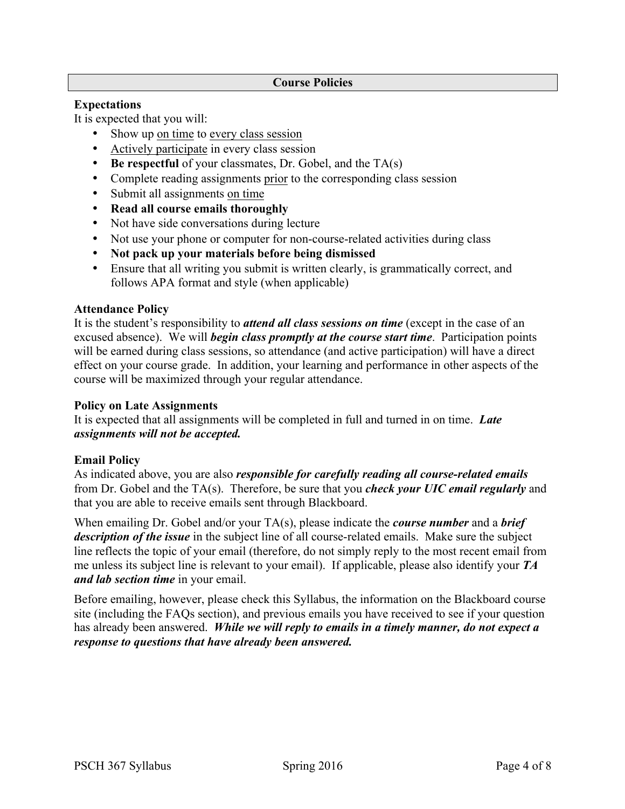#### **Course Policies**

### **Expectations**

It is expected that you will:

- Show up on time to every class session
- Actively participate in every class session
- **Be respectful** of your classmates, Dr. Gobel, and the TA(s)
- Complete reading assignments prior to the corresponding class session
- Submit all assignments on time
- **Read all course emails thoroughly**
- Not have side conversations during lecture
- Not use your phone or computer for non-course-related activities during class
- **Not pack up your materials before being dismissed**
- Ensure that all writing you submit is written clearly, is grammatically correct, and follows APA format and style (when applicable)

### **Attendance Policy**

It is the student's responsibility to *attend all class sessions on time* (except in the case of an excused absence). We will *begin class promptly at the course start time*. Participation points will be earned during class sessions, so attendance (and active participation) will have a direct effect on your course grade. In addition, your learning and performance in other aspects of the course will be maximized through your regular attendance.

### **Policy on Late Assignments**

It is expected that all assignments will be completed in full and turned in on time. *Late assignments will not be accepted.*

# **Email Policy**

As indicated above, you are also *responsible for carefully reading all course-related emails* from Dr. Gobel and the TA(s). Therefore, be sure that you *check your UIC email regularly* and that you are able to receive emails sent through Blackboard.

When emailing Dr. Gobel and/or your TA(s), please indicate the *course number* and a *brief description of the issue* in the subject line of all course-related emails. Make sure the subject line reflects the topic of your email (therefore, do not simply reply to the most recent email from me unless its subject line is relevant to your email). If applicable, please also identify your *TA and lab section time* in your email.

Before emailing, however, please check this Syllabus, the information on the Blackboard course site (including the FAQs section), and previous emails you have received to see if your question has already been answered. *While we will reply to emails in a timely manner, do not expect a response to questions that have already been answered.*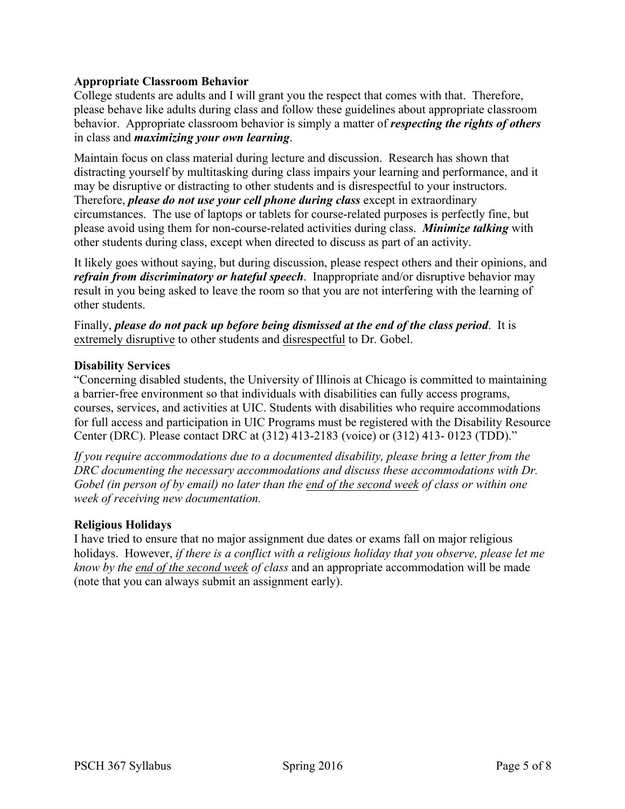# **Appropriate Classroom Behavior**

College students are adults and I will grant you the respect that comes with that. Therefore, please behave like adults during class and follow these guidelines about appropriate classroom behavior. Appropriate classroom behavior is simply a matter of *respecting the rights of others* in class and *maximizing your own learning*.

Maintain focus on class material during lecture and discussion. Research has shown that distracting yourself by multitasking during class impairs your learning and performance, and it may be disruptive or distracting to other students and is disrespectful to your instructors. Therefore, *please do not use your cell phone during class* except in extraordinary circumstances. The use of laptops or tablets for course-related purposes is perfectly fine, but please avoid using them for non-course-related activities during class. *Minimize talking* with other students during class, except when directed to discuss as part of an activity.

It likely goes without saying, but during discussion, please respect others and their opinions, and *refrain from discriminatory or hateful speech*. Inappropriate and/or disruptive behavior may result in you being asked to leave the room so that you are not interfering with the learning of other students.

Finally, *please do not pack up before being dismissed at the end of the class period*. It is extremely disruptive to other students and disrespectful to Dr. Gobel.

### **Disability Services**

"Concerning disabled students, the University of Illinois at Chicago is committed to maintaining a barrier-free environment so that individuals with disabilities can fully access programs, courses, services, and activities at UIC. Students with disabilities who require accommodations for full access and participation in UIC Programs must be registered with the Disability Resource Center (DRC). Please contact DRC at (312) 413-2183 (voice) or (312) 413- 0123 (TDD)."

*If you require accommodations due to a documented disability, please bring a letter from the DRC documenting the necessary accommodations and discuss these accommodations with Dr. Gobel (in person of by email) no later than the end of the second week of class or within one week of receiving new documentation.*

### **Religious Holidays**

I have tried to ensure that no major assignment due dates or exams fall on major religious holidays. However, *if there is a conflict with a religious holiday that you observe, please let me know by the end of the second week of class* and an appropriate accommodation will be made (note that you can always submit an assignment early).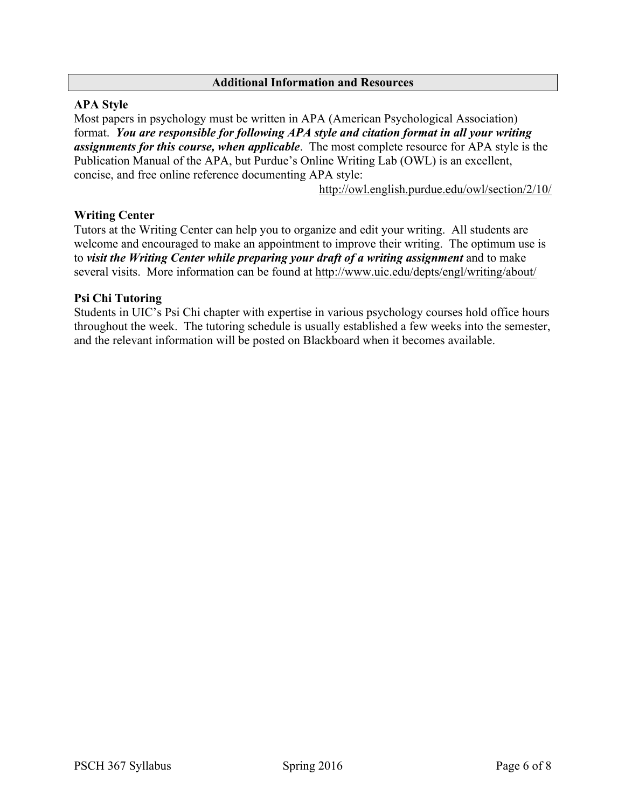#### **Additional Information and Resources**

### **APA Style**

Most papers in psychology must be written in APA (American Psychological Association) format. *You are responsible for following APA style and citation format in all your writing assignments for this course, when applicable*. The most complete resource for APA style is the Publication Manual of the APA, but Purdue's Online Writing Lab (OWL) is an excellent, concise, and free online reference documenting APA style:

http://owl.english.purdue.edu/owl/section/2/10/

### **Writing Center**

Tutors at the Writing Center can help you to organize and edit your writing. All students are welcome and encouraged to make an appointment to improve their writing. The optimum use is to *visit the Writing Center while preparing your draft of a writing assignment* and to make several visits. More information can be found at http://www.uic.edu/depts/engl/writing/about/

### **Psi Chi Tutoring**

Students in UIC's Psi Chi chapter with expertise in various psychology courses hold office hours throughout the week. The tutoring schedule is usually established a few weeks into the semester, and the relevant information will be posted on Blackboard when it becomes available.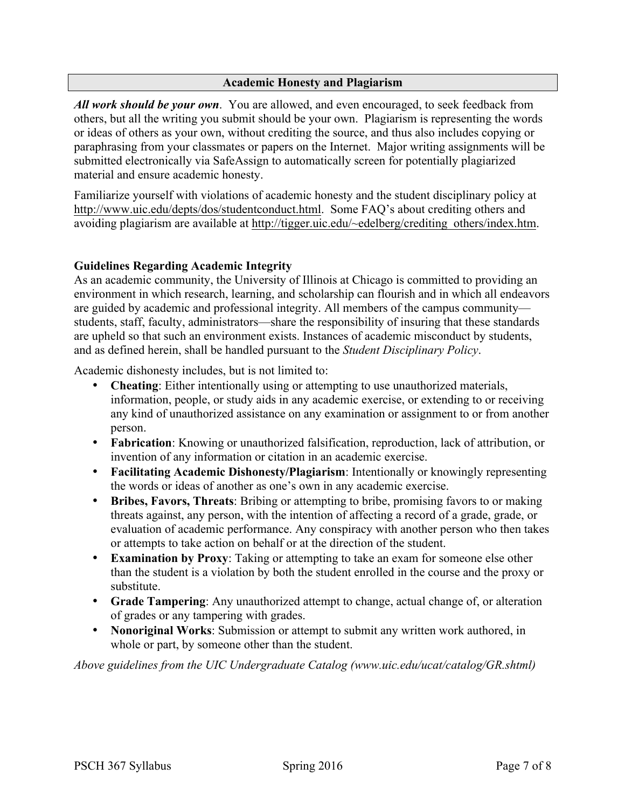### **Academic Honesty and Plagiarism**

*All work should be your own*. You are allowed, and even encouraged, to seek feedback from others, but all the writing you submit should be your own. Plagiarism is representing the words or ideas of others as your own, without crediting the source, and thus also includes copying or paraphrasing from your classmates or papers on the Internet. Major writing assignments will be submitted electronically via SafeAssign to automatically screen for potentially plagiarized material and ensure academic honesty.

Familiarize yourself with violations of academic honesty and the student disciplinary policy at http://www.uic.edu/depts/dos/studentconduct.html. Some FAO's about crediting others and avoiding plagiarism are available at http://tigger.uic.edu/~edelberg/crediting\_others/index.htm.

# **Guidelines Regarding Academic Integrity**

As an academic community, the University of Illinois at Chicago is committed to providing an environment in which research, learning, and scholarship can flourish and in which all endeavors are guided by academic and professional integrity. All members of the campus community students, staff, faculty, administrators—share the responsibility of insuring that these standards are upheld so that such an environment exists. Instances of academic misconduct by students, and as defined herein, shall be handled pursuant to the *Student Disciplinary Policy*.

Academic dishonesty includes, but is not limited to:

- **Cheating**: Either intentionally using or attempting to use unauthorized materials, information, people, or study aids in any academic exercise, or extending to or receiving any kind of unauthorized assistance on any examination or assignment to or from another person.
- **Fabrication**: Knowing or unauthorized falsification, reproduction, lack of attribution, or invention of any information or citation in an academic exercise.
- **Facilitating Academic Dishonesty/Plagiarism**: Intentionally or knowingly representing the words or ideas of another as one's own in any academic exercise.
- **Bribes, Favors, Threats**: Bribing or attempting to bribe, promising favors to or making threats against, any person, with the intention of affecting a record of a grade, grade, or evaluation of academic performance. Any conspiracy with another person who then takes or attempts to take action on behalf or at the direction of the student.
- **Examination by Proxy**: Taking or attempting to take an exam for someone else other than the student is a violation by both the student enrolled in the course and the proxy or substitute.
- **Grade Tampering**: Any unauthorized attempt to change, actual change of, or alteration of grades or any tampering with grades.
- **Nonoriginal Works**: Submission or attempt to submit any written work authored, in whole or part, by someone other than the student.

*Above guidelines from the UIC Undergraduate Catalog (www.uic.edu/ucat/catalog/GR.shtml)*